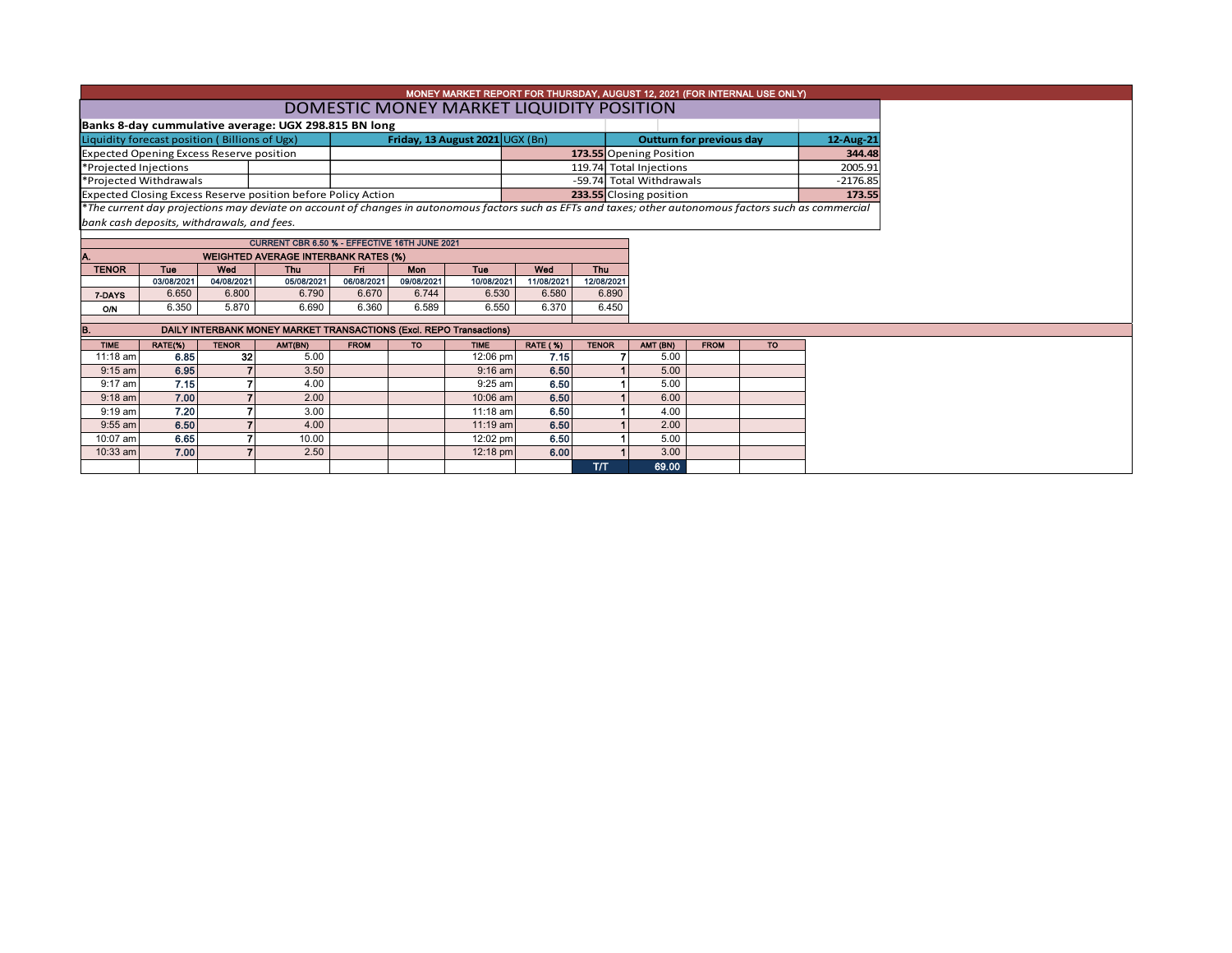| MONEY MARKET REPORT FOR THURSDAY, AUGUST 12, 2021 (FOR INTERNAL USE ONLY) |                                                 |                                             |                                                                                                                                                          |             |                                 |                                 |                 |              |                          |             |        |            |  |  |  |
|---------------------------------------------------------------------------|-------------------------------------------------|---------------------------------------------|----------------------------------------------------------------------------------------------------------------------------------------------------------|-------------|---------------------------------|---------------------------------|-----------------|--------------|--------------------------|-------------|--------|------------|--|--|--|
|                                                                           | DOMESTIC MONEY MARKET LIQUIDITY POSITION        |                                             |                                                                                                                                                          |             |                                 |                                 |                 |              |                          |             |        |            |  |  |  |
| Banks 8-day cummulative average: UGX 298.815 BN long                      |                                                 |                                             |                                                                                                                                                          |             |                                 |                                 |                 |              |                          |             |        |            |  |  |  |
| Liquidity forecast position (Billions of Ugx)                             |                                                 |                                             |                                                                                                                                                          |             | <b>Outturn for previous day</b> |                                 | 12-Aug-21       |              |                          |             |        |            |  |  |  |
|                                                                           | <b>Expected Opening Excess Reserve position</b> |                                             |                                                                                                                                                          |             |                                 | Friday, 13 August 2021 UGX (Bn) |                 |              | 173.55 Opening Position  |             | 344.48 |            |  |  |  |
|                                                                           |                                                 |                                             |                                                                                                                                                          |             |                                 |                                 |                 |              | 119.74 Total Injections  |             |        | 2005.91    |  |  |  |
| *Projected Injections<br>*Projected Withdrawals                           |                                                 |                                             |                                                                                                                                                          |             |                                 |                                 |                 |              | -59.74 Total Withdrawals |             |        | $-2176.85$ |  |  |  |
|                                                                           |                                                 |                                             | Expected Closing Excess Reserve position before Policy Action                                                                                            |             |                                 |                                 |                 |              | 233.55 Closing position  |             |        | 173.55     |  |  |  |
|                                                                           |                                                 |                                             | *The current day projections may deviate on account of changes in autonomous factors such as EFTs and taxes; other autonomous factors such as commercial |             |                                 |                                 |                 |              |                          |             |        |            |  |  |  |
|                                                                           | bank cash deposits, withdrawals, and fees.      |                                             |                                                                                                                                                          |             |                                 |                                 |                 |              |                          |             |        |            |  |  |  |
|                                                                           |                                                 |                                             |                                                                                                                                                          |             |                                 |                                 |                 |              |                          |             |        |            |  |  |  |
|                                                                           |                                                 |                                             | CURRENT CBR 6.50 % - EFFECTIVE 16TH JUNE 2021                                                                                                            |             |                                 |                                 |                 |              |                          |             |        |            |  |  |  |
|                                                                           |                                                 | <b>WEIGHTED AVERAGE INTERBANK RATES (%)</b> |                                                                                                                                                          |             |                                 |                                 |                 |              |                          |             |        |            |  |  |  |
| <b>TENOR</b>                                                              | <b>Tue</b>                                      | Wod                                         | Thu                                                                                                                                                      | Fri         | Mon                             | <b>Tue</b>                      | Wed             | <b>Thu</b>   |                          |             |        |            |  |  |  |
|                                                                           | 03/08/2021                                      | 04/08/2021                                  | 05/08/2021                                                                                                                                               | 06/08/2021  | 09/08/2021                      | 10/08/2021                      | 11/08/2021      | 12/08/2021   |                          |             |        |            |  |  |  |
| 7-DAYS                                                                    | 6.650                                           | 6.800                                       | 6.790                                                                                                                                                    | 6.670       | 6.744                           | 6.530                           | 6.580           | 6.890        |                          |             |        |            |  |  |  |
| <b>O/N</b>                                                                | 6.350                                           | 5.870                                       | 6.690                                                                                                                                                    | 6.360       | 6.589                           | 6.550                           | 6.370           | 6.450        |                          |             |        |            |  |  |  |
|                                                                           |                                                 |                                             | DAILY INTERBANK MONEY MARKET TRANSACTIONS (Excl. REPO Transactions)                                                                                      |             |                                 |                                 |                 |              |                          |             |        |            |  |  |  |
| <b>TIME</b>                                                               | RATE(%)                                         | <b>TENOR</b>                                | AMT(BN)                                                                                                                                                  | <b>FROM</b> | <b>TO</b>                       | <b>TIME</b>                     | <b>RATE (%)</b> | <b>TENOR</b> | AMT (BN)                 | <b>FROM</b> | TO.    |            |  |  |  |
| 11:18 am                                                                  | 6.85                                            | 32                                          | 5.00                                                                                                                                                     |             |                                 | 12:06 pm                        | 7.15            |              | 5.00                     |             |        |            |  |  |  |
| $9:15$ am                                                                 | 6.95                                            |                                             | 3.50                                                                                                                                                     |             |                                 | $9:16$ am                       | 6.50            |              | 5.00                     |             |        |            |  |  |  |
| $9:17$ am                                                                 | 7.15                                            |                                             | 4.00                                                                                                                                                     |             |                                 | $9:25$ am                       | 6.50            |              | 5.00                     |             |        |            |  |  |  |
| $9:18$ am                                                                 | 7.00                                            | 7                                           | 2.00                                                                                                                                                     |             |                                 | 10:06 am                        | 6.50            |              | 6.00                     |             |        |            |  |  |  |
| $9:19$ am                                                                 | 7.20                                            |                                             | 3.00                                                                                                                                                     |             |                                 | 11:18 am                        | 6.50            |              | 4.00                     |             |        |            |  |  |  |
| $9:55$ am                                                                 | 6.50                                            |                                             | 4.00                                                                                                                                                     |             |                                 | 11:19 am                        | 6.50            |              | 2.00                     |             |        |            |  |  |  |
| 10:07 am                                                                  | 6.65                                            |                                             | 10.00                                                                                                                                                    |             |                                 | 12:02 pm                        | 6.50            |              | 5.00                     |             |        |            |  |  |  |
| 10:33 am                                                                  | 7.00                                            |                                             | 2.50                                                                                                                                                     |             |                                 | 12:18 pm                        | 6.00            |              | 3.00                     |             |        |            |  |  |  |
|                                                                           |                                                 |                                             |                                                                                                                                                          |             |                                 |                                 |                 | <b>T/T</b>   | 69.00                    |             |        |            |  |  |  |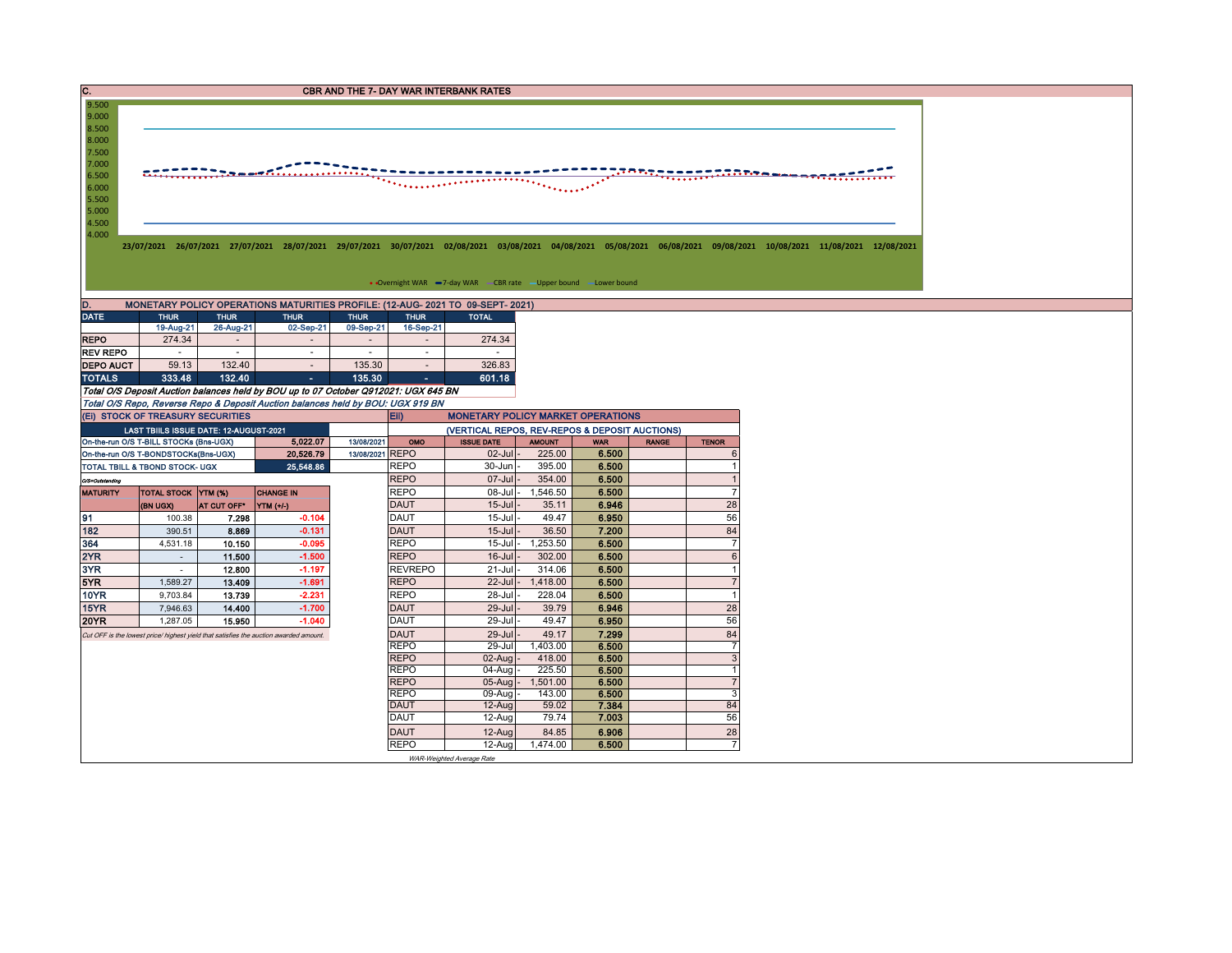| $\overline{c}$ .<br>CBR AND THE 7- DAY WAR INTERBANK RATES                                                                           |                                                                                                                                                                                                                                                                             |                         |                                                                                       |                                                                                     |                           |                    |                |              |                                |  |  |  |  |  |  |
|--------------------------------------------------------------------------------------------------------------------------------------|-----------------------------------------------------------------------------------------------------------------------------------------------------------------------------------------------------------------------------------------------------------------------------|-------------------------|---------------------------------------------------------------------------------------|-------------------------------------------------------------------------------------|---------------------------|--------------------|----------------|--------------|--------------------------------|--|--|--|--|--|--|
| 9.000<br>8.500<br>8.000<br>7.500<br>7.000<br>6.500<br>6.000<br>5.500<br>5.000<br>4.500<br>4.000                                      | 9.500<br><br>*********<br>$\bullet \bullet \bullet \bullet \bullet \bullet \bullet \bullet \bullet$<br>23/07/2021 26/07/2021 27/07/2021 28/07/2021 29/07/2021 30/07/2021 02/08/2021 03/08/2021 04/08/2021 05/08/2021 06/08/2021 09/08/2021 10/08/2021 11/08/2021 12/08/2021 |                         |                                                                                       |                                                                                     |                           |                    |                |              |                                |  |  |  |  |  |  |
|                                                                                                                                      | • Overnight WAR -7-day WAR - CBR rate - Upper bound -Lower bound                                                                                                                                                                                                            |                         |                                                                                       |                                                                                     |                           |                    |                |              |                                |  |  |  |  |  |  |
| D.                                                                                                                                   |                                                                                                                                                                                                                                                                             |                         |                                                                                       |                                                                                     |                           |                    |                |              |                                |  |  |  |  |  |  |
| <b>DATE</b>                                                                                                                          | MONETARY POLICY OPERATIONS MATURITIES PROFILE: (12-AUG- 2021 TO 09-SEPT- 2021)<br><b>THUR</b><br><b>THUR</b><br><b>THUR</b><br><b>THUR</b><br><b>THUR</b><br><b>TOTAL</b>                                                                                                   |                         |                                                                                       |                                                                                     |                           |                    |                |              |                                |  |  |  |  |  |  |
|                                                                                                                                      | 19-Aug-21                                                                                                                                                                                                                                                                   | 26-Aug-21               | 02-Sep-21                                                                             | 09-Sep-21<br>16-Sep-21                                                              |                           |                    |                |              |                                |  |  |  |  |  |  |
| <b>REPO</b>                                                                                                                          | 274.34                                                                                                                                                                                                                                                                      | $\sim$                  | $\overline{\phantom{a}}$                                                              | $\overline{\phantom{a}}$<br>$\overline{\phantom{a}}$                                | 274.34                    |                    |                |              |                                |  |  |  |  |  |  |
| <b>REV REPO</b>                                                                                                                      | $\sim$                                                                                                                                                                                                                                                                      | ÷                       | ×.                                                                                    | $\sim$                                                                              | $\sim$                    |                    |                |              |                                |  |  |  |  |  |  |
| <b>DEPO AUCT</b><br><b>TOTALS</b>                                                                                                    | 59.13<br>333.48                                                                                                                                                                                                                                                             | 132.40<br>132.40        | $\sim$<br>$\sim$                                                                      | 135.30<br>$\sim$<br>135.30<br>$\sim$                                                | 326.83<br>601.18          |                    |                |              |                                |  |  |  |  |  |  |
|                                                                                                                                      |                                                                                                                                                                                                                                                                             |                         |                                                                                       | Total O/S Deposit Auction balances held by BOU up to 07 October Q912021: UGX 645 BN |                           |                    |                |              |                                |  |  |  |  |  |  |
|                                                                                                                                      |                                                                                                                                                                                                                                                                             |                         |                                                                                       | Total O/S Repo, Reverse Repo & Deposit Auction balances held by BOU: UGX 919 BN     |                           |                    |                |              |                                |  |  |  |  |  |  |
|                                                                                                                                      | (EI) STOCK OF TREASURY SECURITIES                                                                                                                                                                                                                                           |                         |                                                                                       | Eii)                                                                                |                           |                    |                |              |                                |  |  |  |  |  |  |
| <b>MONETARY POLICY MARKET OPERATIONS</b><br>(VERTICAL REPOS, REV-REPOS & DEPOSIT AUCTIONS)<br>LAST TBIILS ISSUE DATE: 12-AUGUST-2021 |                                                                                                                                                                                                                                                                             |                         |                                                                                       |                                                                                     |                           |                    |                |              |                                |  |  |  |  |  |  |
|                                                                                                                                      | On-the-run O/S T-BILL STOCKs (Bns-UGX)                                                                                                                                                                                                                                      |                         | 5,022.07                                                                              | 13/08/2021<br>OMO                                                                   | <b>ISSUE DATE</b>         | <b>AMOUNT</b>      | <b>WAR</b>     | <b>RANGE</b> | <b>TENOR</b>                   |  |  |  |  |  |  |
|                                                                                                                                      | On-the-run O/S T-BONDSTOCKs(Bns-UGX)                                                                                                                                                                                                                                        |                         | 20,526.79                                                                             | 13/08/2021 REPO                                                                     | $02$ -Jul                 | 225.00             | 6.500          |              | 6                              |  |  |  |  |  |  |
|                                                                                                                                      | TOTAL TBILL & TBOND STOCK- UGX                                                                                                                                                                                                                                              |                         | 25,548.86                                                                             | <b>REPO</b>                                                                         | $30 - Jun$                | 395.00             | 6.500          |              |                                |  |  |  |  |  |  |
| O/S=Outstanding                                                                                                                      |                                                                                                                                                                                                                                                                             |                         |                                                                                       | <b>REPO</b>                                                                         | 07-Jul                    | 354.00             | 6.500          |              | $\overline{1}$                 |  |  |  |  |  |  |
| <b>MATURITY</b>                                                                                                                      | <b>TOTAL STOCK YTM (%)</b>                                                                                                                                                                                                                                                  |                         | <b>CHANGE IN</b>                                                                      | <b>REPO</b><br><b>DAUT</b>                                                          | $08$ -Jul                 | 1,546.50           | 6.500          |              | $\overline{7}$                 |  |  |  |  |  |  |
| 91                                                                                                                                   | (BN UGX)<br>100.38                                                                                                                                                                                                                                                          | AT CUT OFF <sup>®</sup> | YTM (+/-)<br>$-0.104$                                                                 | <b>DAUT</b>                                                                         | $15 -$ Jul<br>$15$ -Jul   | 35.11<br>49.47     | 6.946<br>6.950 |              | 28<br>56                       |  |  |  |  |  |  |
| 182                                                                                                                                  | 390.51                                                                                                                                                                                                                                                                      | 7.298<br>8.869          | $-0.131$                                                                              | <b>DAUT</b>                                                                         | $15$ -Jul                 | 36.50              | 7.200          |              | 84                             |  |  |  |  |  |  |
| 364                                                                                                                                  | 4,531.18                                                                                                                                                                                                                                                                    | 10.150                  | $-0.095$                                                                              | <b>REPO</b>                                                                         | $15$ -Jul                 | 1,253.50           | 6.500          |              | $\overline{7}$                 |  |  |  |  |  |  |
| 2YR                                                                                                                                  | $\sim$                                                                                                                                                                                                                                                                      | 11.500                  | $-1.500$                                                                              | <b>REPO</b>                                                                         | $16$ -Jul                 | 302.00             | 6.500          |              | $6\phantom{1}$                 |  |  |  |  |  |  |
| 3YR                                                                                                                                  | $\sim$                                                                                                                                                                                                                                                                      | 12.800                  | $-1.197$                                                                              | <b>REVREPO</b>                                                                      | $21 -$ Jul                | 314.06             | 6.500          |              | $\overline{1}$                 |  |  |  |  |  |  |
| 5YR                                                                                                                                  | 1,589.27                                                                                                                                                                                                                                                                    | 13.409                  | $-1.691$                                                                              | <b>REPO</b>                                                                         | $22$ -Jul                 | 1,418.00           | 6.500          |              | $\overline{7}$                 |  |  |  |  |  |  |
| 10YR                                                                                                                                 | 9,703.84                                                                                                                                                                                                                                                                    | 13.739                  | $-2.231$                                                                              | <b>REPO</b>                                                                         | 28-Jul                    | 228.04             | 6.500          |              | $\overline{1}$                 |  |  |  |  |  |  |
| 15YR                                                                                                                                 | 7,946.63                                                                                                                                                                                                                                                                    | 14.400                  | $-1.700$                                                                              | <b>DAUT</b>                                                                         | $29 -$ Jul                | 39.79              | 6.946          |              | 28                             |  |  |  |  |  |  |
| <b>20YR</b>                                                                                                                          | 1,287.05                                                                                                                                                                                                                                                                    | 15.950                  | $-1.040$                                                                              | <b>DAUT</b>                                                                         | 29-Jul                    | 49.47              | 6.950          |              | 56                             |  |  |  |  |  |  |
|                                                                                                                                      |                                                                                                                                                                                                                                                                             |                         | Cut OFF is the lowest price/ highest yield that satisfies the auction awarded amount. | <b>DAUT</b>                                                                         | $29 -$ Jul                | 49.17              | 7.299          |              | 84                             |  |  |  |  |  |  |
|                                                                                                                                      |                                                                                                                                                                                                                                                                             |                         |                                                                                       | <b>REPO</b><br><b>REPO</b>                                                          | 29-Jul<br>02-Aug          | 1,403.00<br>418.00 | 6.500<br>6.500 |              | $\overline{7}$<br>$\mathbf{3}$ |  |  |  |  |  |  |
|                                                                                                                                      |                                                                                                                                                                                                                                                                             |                         |                                                                                       | <b>REPO</b>                                                                         | $04-Auq$                  | 225.50             | 6.500          |              | $\overline{1}$                 |  |  |  |  |  |  |
|                                                                                                                                      |                                                                                                                                                                                                                                                                             |                         |                                                                                       | <b>REPO</b>                                                                         | $05$ -Aug -               | 1,501.00           | 6.500          |              | $\overline{7}$                 |  |  |  |  |  |  |
|                                                                                                                                      |                                                                                                                                                                                                                                                                             |                         |                                                                                       | <b>REPO</b>                                                                         | 09-Aug                    | 143.00             | 6.500          |              | $\mathbf{3}$                   |  |  |  |  |  |  |
|                                                                                                                                      |                                                                                                                                                                                                                                                                             |                         |                                                                                       | <b>DAUT</b>                                                                         | 12-Aug                    | 59.02              | 7.384          |              | 84                             |  |  |  |  |  |  |
|                                                                                                                                      |                                                                                                                                                                                                                                                                             |                         |                                                                                       | <b>DAUT</b>                                                                         | 12-Aug                    | 79.74              | 7.003          |              | 56                             |  |  |  |  |  |  |
| <b>DAUT</b><br>6.906<br>28<br>$12 - A u$<br>84.85                                                                                    |                                                                                                                                                                                                                                                                             |                         |                                                                                       |                                                                                     |                           |                    |                |              |                                |  |  |  |  |  |  |
|                                                                                                                                      |                                                                                                                                                                                                                                                                             |                         |                                                                                       | <b>REPO</b>                                                                         | 12-Aug                    | 1,474.00           | 6.500          |              | $\overline{7}$                 |  |  |  |  |  |  |
|                                                                                                                                      |                                                                                                                                                                                                                                                                             |                         |                                                                                       |                                                                                     | WAR-Weighted Average Rate |                    |                |              |                                |  |  |  |  |  |  |